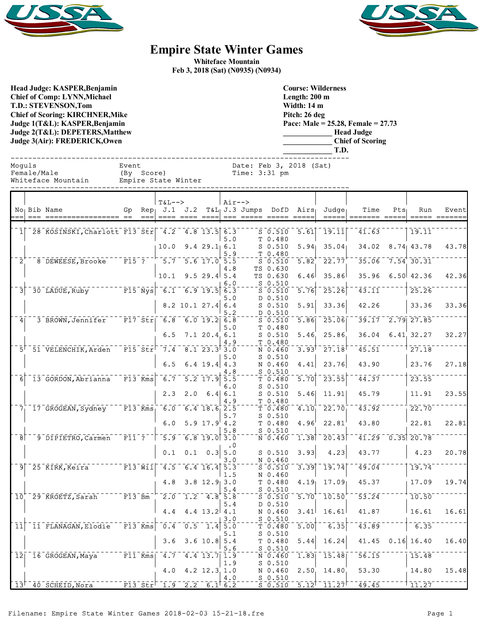



## **Empire State Winter Games**

**Whiteface Mountain Feb 3, 2018 (Sat) (N0935) (N0934)**

**Head Judge: KASPER,Benjamin Chief of Comp: LYNN,Michael T.D.: STEVENSON,Tom Chief of Scoring: KIRCHNER,Mike Judge 1(T&L): KASPER,Benjamin Judge 2(T&L): DEPETERS,Matthew Judge 3(Air): FREDERICK,Owen** 

**Course: Wilderness Length: 200 m Width: 14 m Pitch: 26 deg Pace: Male = 25.28, Female = 27.73 \_\_\_\_\_\_\_\_\_\_\_\_\_ Head Judge \_\_\_\_\_\_\_\_\_\_\_\_\_ Chief of Scoring**

|                |             |                                                  |                                                                               |                                 |                                                                                                                                                                                        |                                                             |            |                 |                                                                                                                                                                                        |                           | T.D.                                                    |                                                                         |                      |                      |       |
|----------------|-------------|--------------------------------------------------|-------------------------------------------------------------------------------|---------------------------------|----------------------------------------------------------------------------------------------------------------------------------------------------------------------------------------|-------------------------------------------------------------|------------|-----------------|----------------------------------------------------------------------------------------------------------------------------------------------------------------------------------------|---------------------------|---------------------------------------------------------|-------------------------------------------------------------------------|----------------------|----------------------|-------|
| Moquls         | Female/Male | Whiteface Mountain                               | Event<br>(By Score)                                                           |                                 | Empire State Winter                                                                                                                                                                    |                                                             |            | Time: $3:31$ pm | Date: Feb 3, 2018 (Sat)                                                                                                                                                                |                           |                                                         |                                                                         |                      |                      |       |
|                |             | No Bib Name                                      |                                                                               |                                 | $T&L-->$                                                                                                                                                                               |                                                             | $Air--$    |                 |                                                                                                                                                                                        |                           | Gp Rep J.1 J.2 T&L J.3 Jumps DofD Airs Judge            | Time                                                                    | $Pts_1$              | Run                  | Event |
|                |             | 1 28 KOSINSKI, Charlott F13 Str 4.2 4.8 13.5 6.3 |                                                                               |                                 |                                                                                                                                                                                        |                                                             | 5.0        |                 | $5 - 0.510$<br>T 0.480                                                                                                                                                                 | $\overline{5.61}$         | $^{\scriptscriptstyle -}$ 19.11 $\scriptstyle\parallel$ | 41.63                                                                   |                      | $\overline{19.11}$   |       |
|                |             |                                                  |                                                                               |                                 | 10.0                                                                                                                                                                                   | 9.429.16.1                                                  | 5.9        |                 | $S$ 0.510<br>T 0.480                                                                                                                                                                   | 5.94                      | 35.04                                                   |                                                                         |                      | 34.02 8.74 43.78     | 43.78 |
|                |             | $2^{+ - -}$ 8 DEWEESE, Brooke                    | $\bar{r}$ = $\bar{r}$ $\bar{r}$ = $\bar{r}$ $\bar{r}$ = $\bar{r}$ = $\bar{r}$ |                                 |                                                                                                                                                                                        | $-5.7 - 5.6$ 17.0 $5.5$                                     | 4.8        |                 | $\overline{\mathsf{s}}$ $\overline{\mathsf{0}}$ $\overline{\mathsf{s}}$ $\overline{\mathsf{1}}$ $\overline{\mathsf{0}}$<br>TS 0.630                                                    | $\overline{5.82}$         | 22.77                                                   |                                                                         |                      | $35.06 - 7.54$ 30.31 |       |
| $\overline{3}$ |             | $-30$ LADUE, Ruby F15 Nys 6.1 6.9 19.5 6.3       |                                                                               |                                 |                                                                                                                                                                                        | $10.1$ 9.5 29.4 5.4                                         | 6.0        |                 | TS 0.630<br>$S$ 0.510                                                                                                                                                                  | 6.46                      | 35.86<br>25.26                                          | $\overline{43.11}$                                                      |                      | $35.96$ 6.50 42.36   | 42.36 |
|                |             |                                                  |                                                                               |                                 |                                                                                                                                                                                        | $8.2$ 10.1 27.4 6.4                                         | 5.0        |                 | $\overline{\text{s}}$ $\overline{\text{0}}$ $\overline{\text{0}}$ $\overline{\text{0}}$ $\overline{\text{0}}$<br>D 0.510<br>$S$ 0.510                                                  | 5.76<br>5.91              | 33.36                                                   | 42.26                                                                   |                      | 25.26<br>33.36       | 33.36 |
| 4 <sub>1</sub> |             | 3 BROWN, Jennifer F17 Str                        |                                                                               |                                 |                                                                                                                                                                                        | $-6.8$ 6.0 19.2 6.8                                         | 5.2<br>5.0 |                 | D 0.510<br>$\overline{\text{s}}$ $\overline{\text{0.510}}$                                                                                                                             | 5.86                      | $-25.06$                                                |                                                                         |                      | $39.17 - 2.79$ 27.85 |       |
|                |             |                                                  |                                                                               |                                 |                                                                                                                                                                                        | 6.5 7.1 20.4 6.1                                            | 4.9        |                 | T 0.480<br>$S$ 0.510<br>T 0.480                                                                                                                                                        | 5.46                      | 25.86                                                   | 36.04                                                                   |                      | 6.41, 32.27          | 32.27 |
|                |             | 5 <sup><math>-51</math></sup> VELENCHIK, Arden   |                                                                               |                                 | $\overline{F15}$ $\overline{5}$ $\overline{t}$ $\overline{r}$ $\overline{7}$ $\overline{4}$ $\overline{8}$ $\overline{1}$ $\overline{23}$ $\overline{3}$ $\overline{3}$ $\overline{0}$ |                                                             | 5.0        |                 | $N$ 0.460<br>$S$ 0.510                                                                                                                                                                 | 3.93                      | $\bar{27.18}$                                           | 45.51                                                                   |                      | 27.18                |       |
| 6 <sup>1</sup> |             | 13 GORDON, Abrianna                              | $\overline{F13}$ Kms                                                          |                                 | 6.5                                                                                                                                                                                    | 6.4 19.4 $4.3$<br>$6.7 - 5.2 - 17.9$ 5.5                    | 4.8        |                 | N 0.460<br>$S_0.510$<br>$\bar{\tau}$ $\bar{0}$ , $\bar{4}80$                                                                                                                           | 4.41<br>$\overline{5.70}$ | 23.76<br>$\overline{23.55}$                             | 43.90<br>$\overline{4}\overline{4}\overline{.}\overline{3}\overline{7}$ |                      | 23.76<br>23.55       | 27.18 |
|                |             |                                                  |                                                                               |                                 |                                                                                                                                                                                        | $2.3$ $2.0$ $6.4$ $6.1$                                     | 6.0        |                 | $S$ 0.510<br>$S$ 0.510                                                                                                                                                                 | 5.46                      | 11.91                                                   | 45.79                                                                   |                      | 11.91                | 23.55 |
|                |             | $7–17$ GROGEAN, Sydney                           |                                                                               |                                 |                                                                                                                                                                                        | $6.0$ $6.4$ $18.6$ $2.5$                                    | 4.9<br>5.7 |                 | T 0.480<br>$\bar{\tau}$ $\bar{0}$ $\bar{\cdot}$ $\bar{4}80$<br>$S$ 0.510                                                                                                               | 4.10 <sub>1</sub>         | 22.70                                                   | $\overline{43.92}$                                                      |                      | 22.70                |       |
|                |             |                                                  |                                                                               |                                 | 6.0                                                                                                                                                                                    | 5.9 $17.9$ 4.2                                              | 5.8        |                 | T 0.480<br>$S$ 0.510                                                                                                                                                                   | 4.96                      | 22.81                                                   | 43.80                                                                   |                      | 22.81                | 22.81 |
|                |             | 8 - 9 DIPIETRO, Carmen                           |                                                                               | $\bar{r}$ i $\bar{1}$ $\bar{?}$ |                                                                                                                                                                                        | $-5.9 - 6.8$ 19.0 3.0<br>$0.1 \quad 0.1 \quad 0.3 \mid 5.0$ | $\cdot$ 0  |                 | $\bar{N}$ $\bar{0}$ $\bar{4}$ $\bar{60}$<br>$S$ 0.510                                                                                                                                  | 1.38<br>3.93              | 20.43<br>4.23                                           | 43.77                                                                   | $41.29 - 0.35$ 20.78 | 4.23                 | 20.78 |
|                |             | $9^{\degree}$ 25 KIRK, Keira                     | $T$ $\vec{F}$ 13 $\vec{W}$ ii $\vec{V}$                                       |                                 |                                                                                                                                                                                        | $-4.5 - 6.4$ 16.4 5.3                                       | 3.0        |                 | N 0.460<br>$\overline{\overline{\mathbf{s}}}$ $\overline{\overline{\mathbf{0}}}$ $\overline{\overline{\mathbf{5}}}$ $\overline{\overline{\mathbf{1}}}\overline{\overline{\mathbf{0}}}$ | 3.39                      | $-19.74$                                                | 49.04                                                                   |                      | 19.74                |       |
|                |             |                                                  |                                                                               |                                 |                                                                                                                                                                                        | $4.8$ 3.8 12.9 3.0                                          | 1.5        |                 | N 0.460<br>T 0.480                                                                                                                                                                     | 4.19                      | 17.09                                                   | 45.37                                                                   |                      | 17.09                | 19.74 |
|                |             | $10^{+}$ 29 KROETZ, Sarah $-$ F13 Bm             |                                                                               |                                 |                                                                                                                                                                                        | $\overline{2.0}$ 1.2 4.8 5.8                                | 5.4<br>5.4 |                 | $S$ 0.510<br>$\bar{s}$ $\bar{0}$ $\bar{s}$ $\bar{1}$ $\bar{0}$<br>D 0.510                                                                                                              |                           | $\overline{5.70}^{+ -}10.50$                            | 53.24                                                                   |                      | 10.50                |       |
|                |             |                                                  |                                                                               |                                 |                                                                                                                                                                                        | $4.4$ $4.4$ $13.2$ $4.1$                                    |            |                 | N 0.460                                                                                                                                                                                | 3.41                      | 16.61                                                   | 41.87                                                                   |                      | 16.61                | 16.61 |

 $\left[-\frac{3}{1.4}\right] \frac{3.0}{5.0}$  - - - -  $\frac{5}{T} \frac{0.510}{0.480}$ 

5.1 S 0.510<br>5.4 T 0.480

 $\frac{4.0}{6.2}$  - - - -  $\frac{5}{5}$   $\frac{0.510}{0.510}$ 

S 0.510

 $11$  11 FLANAGAN, Elodie F13  $\overline{kms}$  0.4 0.5 1.4  $5.0$   $\overline{T}$  0.480  $-$  5.00  $-$  6.35  $-$  43.89  $-$  -1 6.35

 $13^{1-}40^{-}$ SCHEID,Nora  $F13^{-}$ Str $^{-}$  1.9  $2.2$   $6.1^{+}$   $6.2$   $5$   $0.510$   $5.12^{+}$   $11.27^{+}$   $49.45$   $11.27$ 

 $\frac{1}{4.4}$   $\frac{5.6}{13.7}$   $\frac{5.6}{1.9}$  -----  $\frac{5}{N}$  0.510 12 16 GROGEAN, Maya F11 Rms 4.7 4.4 13.7 1.9  $S = \frac{1}{2}$  6.460 1.83 15.48  $\frac{1}{2}$  56.15 15.48 15.48

4.4 4.4 13.2 4.1 N 0.460 3.41 16.61 41.87 16.61 16.61

3.6 3.6 10.8 5.4 T 0.480 5.44 16.24 41.45 0.16 16.40 16.40

4.0 4.2 12.3 1.0 N 0.460 2.50 14.80 53.30 14.80 15.48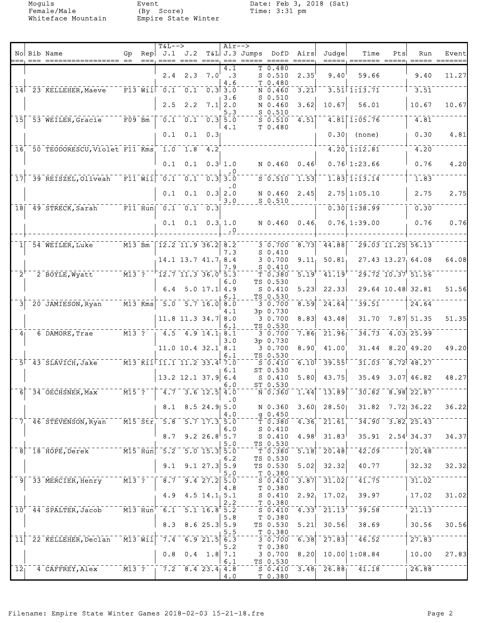Female/Male (By Score) Time: 3:31 pm Whiteface Mountain Empire State Winter

Moguls Event Date: Feb 3, 2018 (Sat)<br>
Female/Male (By Score) Time: 3:31 pm

| === ================== ==<br>===, ==== ==== ====, ===<br>T 0.480<br>4.1<br>$2.4$ $2.3$ $7.0$<br>59.66<br>9.40<br>$\cdot$ 3<br>$S$ 0.510<br>2.35<br>9.40<br>T 0.480<br>4.6<br>$\overline{0.1}$<br>$3.51$ $1:13.71$<br>$-\bar{F}13-\bar{W}11-\bar{0}1$<br>3.51<br>14 23 KELLEHER, Maeve<br>$0.3$ $3.0$<br>$\overline{3.21}$<br>N 0.460<br>$S_0.510$<br>3.6<br>10.67<br>2.5<br>2.2<br>56.01<br>10.67<br>$7.1$   2.0<br>N 0.460<br>3.62<br>10.67<br>$S$ 0.510<br>5.3<br>$4.81$ 1:05.76<br>$\overline{F09}$ Bm<br>0.1<br>$\begin{bmatrix} 0.1 & 0.3 & 5.0 \end{bmatrix}$<br>4.81<br> 15 <br>53 WEILER, Gracie<br>$S$ 0.510<br>4.51<br>T 0.480<br>4.1<br>0.30<br>0.1<br>0.1<br>0.31<br>0.30 <sub>1</sub><br>(none)<br>50 TEODORESCU, Violet F11 Kms 1.0<br>$4.20$ 1:12.81<br>4.20<br>$1.8 \t 4.2$<br>16<br>0.1<br>0.3   1.0<br>$0.76$ 1:23.66<br>0.76<br>0.1<br>N 0.460<br>0.46<br>$\bar{r}$ $\bar{r}$ $\bar{1}$ $\bar{1}$ $\bar{w}$ $\bar{1}$ $\bar{1}$ $\bar{0}$ $\bar{1}$ $\bar{1}$<br>$\bar{0.1}$<br>$1.\overline{83}$ $1.\overline{13}.\overline{14}$<br>1.83<br>39 REISZEL, Oliveah<br>$S = 0.510$<br>1.53<br>17<br>$0.3$ 3.0<br>. 0<br>$2.75$ 1:05.10<br>0.1<br>$0.3$ 2.0<br>2.45<br>2.75<br>0.1<br>N 0.460<br>3.0<br>$S$ 0.510<br>$-$ F11 Hun  0.1 0.1 0.3 <br>$0.30$ $1.38.99$<br>0.30<br>$\overline{18}$<br>49 STRECK, Sarah<br>$0.1 \quad 0.3 \quad 1.0$<br>N 0.460 0.46<br>$0.76$ 1:39.00<br>0.76<br>0.1<br>$\cdot$ 0<br>$8.73$ 44.88<br>29.03 11.25 56.13<br>54 WEILER, Luke<br>$M13$ Bm<br>  12.2 11.9 36.2   8.2<br>3 0.700<br>$S_0.410$<br>7.3<br>27.43 13.27 64.08<br>$14.1$ $13.7$ $41.7$ $8.4$<br>3 0.700<br>9.11<br>50.81<br>7.9<br>$S_0.410$<br>$\overline{\text{m13}}$ $\overline{\text{r}}$<br>$12.7$ $11.3$ $36.0$ <sup>r</sup> $5.3$<br>41.19<br>$29.72$ $10.37$ $51.56$<br>$2^{\prime}$<br>2 BOYLE, Wyatt<br>5.19<br>T <sub>0.380</sub><br>TS 0.530<br>6.0<br>5.0 17.1   4.9<br>6.4<br>5.23<br>22.33<br>29.64 10.48 32.81<br>$S_0.410$<br>TS 0.530<br>6.1<br>$\sqrt{M13 \text{ Kms}}$ 5.0 5.7 16.0 8.0<br>39.51<br>8.59<br>20 JAMIESON, Ryan<br>$\overline{24.64}$<br>24.64<br>$\vert$ 3<br>30.700<br>3p 0.730<br>4.1<br>31.70<br>$7.87$ 51.35<br>$11.8$ 11.3 34.7 8.0<br>30.700<br>8.83<br>43.48<br>TS 0.530<br>6.1<br>$\frac{1}{1}$ 4.5 4.9 14.1 8.1<br>21.96<br>$4.03$ 25.99<br>$M13$ ?<br>7.86<br>34.73<br>6 DAMORE, Trae<br>30.700<br>4 <sub>1</sub><br>3.0<br>3p 0.730<br>$11.0$ 10.4 32.1 8.1<br>30.700<br>8.90<br>41.00<br>31.44<br>$8.20'$ 49.20<br>TS 0.530<br>6.1<br>$31.03 - 8.72$ 48.27<br>$^{-1}$ M13 Kil $^{-}$ II.1 11.2 33.4 7.0<br>39.55<br>6.10<br>$57$ 43 SLAVICH, Jake<br>$S = 0.410$<br>ST 0.530<br>6.1<br>$3.07$ 46.82<br>$13.2$ 12.1 37.9 6.4<br>$S$ 0.410<br>5.80<br>43.75<br>35.49<br>ST 0.530<br>6.0<br>$\overline{M15}$ ?<br>$-4.7 - 3.6$ 12.5 4.0<br>$\overline{1.44}$ $\overline{13.89}$<br>$30.82 - 8.98$ 22.87<br>$6$ $-34$ $-$ OECHSNER, Max<br>N 0.360<br>$\cdot$ 0<br>$31.82$ $7.72$ 36.22<br>$8.5$ 24.9 5.0<br>N 0.360<br>$3.60$ 28.50<br>8.1<br>4.0<br>g 0.450<br>$\overline{M15}$ $\overline{51r}$ $\overline{5.8}$ $\overline{5.7}$ $\overline{17.3}$ $\overline{5.0}$<br>$4.36 - 21.61$<br>$34.90 - 3.82$ , 25.43<br>7 46 STEVENSON, Ryan<br>T 0.380<br>$S_0.410$<br>6.0<br>$9.2$ 26.8 5.7<br>$4.98^{+}$ 31.83<br>$35.91 \quad 2.54$ 34.37<br>8.7<br>$S_0.410$<br>TS 0.530<br>5.0<br>$   \overline{M15}$ $\overline{Hun}$ $-5.2$ $-5.0$ $\overline{15.3}$ $\overline{5.0}$<br>$\bar{4}\bar{2}\cdot 0\bar{9}$<br>$\overline{5.18}$ $\overline{20.48}$<br>20.48<br>$8$ <sup>-18</sup> HOPE, Derek<br>$T_{T}$ 0.380<br>TS 0.530<br>6.2<br>5.02<br>32.32<br>40.77<br>9.1<br>$9.1$ 27.3 5.9<br>TS 0.530<br>32.32<br>5.0<br>$T_0.380$<br>$\overline{3.87}$ $\overline{31.02}$<br>41.75<br>$9$ 33 MERCIER, Henry $M13$ ? $7$ 8.7 9.4 27.2 5.0<br>31.02<br>$\overline{\text{s}}$ $\overline{\text{o}}$ .410<br>4.8<br>T 0.380<br>$4.5$ $14.1$ , $5.1$<br>$S_0.410$<br>$2.92_1$ 17.02<br>39.97<br>17.02<br>4.9<br>T 0.380<br>2.2<br>$-$ M13 Hun $-6.1 - 5.1$ 16.8 5.2<br>$\mathbf{4.33}^{\dagger}$ $\mathbf{\overline{21.13}^{\dagger}}$<br>39.58<br>$10+$ 44 SPALTER, Jacob<br>$\overline{21.13}$<br>$\overline{S}$ $\overline{0.410}$<br>T 0.380<br>5.8<br>$8.6$ 25.3 5.9<br>38.69<br>30.56<br>8.3<br>$5.21$ 30.56<br>TS 0.530<br>T 0.380<br>5.5<br>$\overline{6.9}$ 21.5 $\overline{6.3}$<br>$\overline{27.83}$<br>$\bar{\ }$ - $\bar{\tt M13}$ $\bar{\tt W11}$ - $\bar{\tt 7.4}$ -<br>$6.38$ <sup>-1</sup><br>46.52<br>$\vert1\bar{1}\vert$<br>27.83<br><sup>-</sup> 22 KELLEHER, Declan<br>$-3.0.700$<br>5.2<br>T <sub>0.380</sub><br>$8.20$ 10.00 1:08.84<br>0.8<br>$0.4$ 1.8 7.1<br>3 0.700<br>10.00<br>6.1<br>TS 0.530<br>4 CAFFREY, Alex M13 ?   7.2 8.4 23.4 4.8<br>$S$ 0.410 3.48 26.88 $11.18$<br>$\bar{1}\bar{2}$<br>26.88<br>T 0.380<br>4.0 |  | No Bib Name | Gp | <b>T&amp;L--&gt;</b><br>Rep $J.1$ $J.2$ |  | $Air--$ | $T&L$ J.3 Jumps | DofD | Airs<br>$=$ $=$ $=$ $=$ | Judge | Time | Pts | Run | Event |
|--------------------------------------------------------------------------------------------------------------------------------------------------------------------------------------------------------------------------------------------------------------------------------------------------------------------------------------------------------------------------------------------------------------------------------------------------------------------------------------------------------------------------------------------------------------------------------------------------------------------------------------------------------------------------------------------------------------------------------------------------------------------------------------------------------------------------------------------------------------------------------------------------------------------------------------------------------------------------------------------------------------------------------------------------------------------------------------------------------------------------------------------------------------------------------------------------------------------------------------------------------------------------------------------------------------------------------------------------------------------------------------------------------------------------------------------------------------------------------------------------------------------------------------------------------------------------------------------------------------------------------------------------------------------------------------------------------------------------------------------------------------------------------------------------------------------------------------------------------------------------------------------------------------------------------------------------------------------------------------------------------------------------------------------------------------------------------------------------------------------------------------------------------------------------------------------------------------------------------------------------------------------------------------------------------------------------------------------------------------------------------------------------------------------------------------------------------------------------------------------------------------------------------------------------------------------------------------------------------------------------------------------------------------------------------------------------------------------------------------------------------------------------------------------------------------------------------------------------------------------------------------------------------------------------------------------------------------------------------------------------------------------------------------------------------------------------------------------------------------------------------------------------------------------------------------------------------------------------------------------------------------------------------------------------------------------------------------------------------------------------------------------------------------------------------------------------------------------------------------------------------------------------------------------------------------------------------------------------------------------------------------------------------------------------------------------------------------------------------------------------------------------------------------------------------------------------------------------------------------------------------------------------------------------------------------------------------------------------------------------------------------------------------------------------------------------------------------------------------------------------------------------------------------------------------------------------------------------------------------------------------------------------------------------------------------------------------------------------------------------------------------------------------------------------------------------------------------------------------------------------------------------------------------------------------------------------------------------------------------------------------------------------------------------------------------------------------------------------------------------------------------------------------------------------------------|--|-------------|----|-----------------------------------------|--|---------|-----------------|------|-------------------------|-------|------|-----|-----|-------|
|                                                                                                                                                                                                                                                                                                                                                                                                                                                                                                                                                                                                                                                                                                                                                                                                                                                                                                                                                                                                                                                                                                                                                                                                                                                                                                                                                                                                                                                                                                                                                                                                                                                                                                                                                                                                                                                                                                                                                                                                                                                                                                                                                                                                                                                                                                                                                                                                                                                                                                                                                                                                                                                                                                                                                                                                                                                                                                                                                                                                                                                                                                                                                                                                                                                                                                                                                                                                                                                                                                                                                                                                                                                                                                                                                                                                                                                                                                                                                                                                                                                                                                                                                                                                                                                                                                                                                                                                                                                                                                                                                                                                                                                                                                                                                                                                              |  |             |    |                                         |  |         |                 |      |                         |       |      |     |     | 11.27 |
|                                                                                                                                                                                                                                                                                                                                                                                                                                                                                                                                                                                                                                                                                                                                                                                                                                                                                                                                                                                                                                                                                                                                                                                                                                                                                                                                                                                                                                                                                                                                                                                                                                                                                                                                                                                                                                                                                                                                                                                                                                                                                                                                                                                                                                                                                                                                                                                                                                                                                                                                                                                                                                                                                                                                                                                                                                                                                                                                                                                                                                                                                                                                                                                                                                                                                                                                                                                                                                                                                                                                                                                                                                                                                                                                                                                                                                                                                                                                                                                                                                                                                                                                                                                                                                                                                                                                                                                                                                                                                                                                                                                                                                                                                                                                                                                                              |  |             |    |                                         |  |         |                 |      |                         |       |      |     |     |       |
|                                                                                                                                                                                                                                                                                                                                                                                                                                                                                                                                                                                                                                                                                                                                                                                                                                                                                                                                                                                                                                                                                                                                                                                                                                                                                                                                                                                                                                                                                                                                                                                                                                                                                                                                                                                                                                                                                                                                                                                                                                                                                                                                                                                                                                                                                                                                                                                                                                                                                                                                                                                                                                                                                                                                                                                                                                                                                                                                                                                                                                                                                                                                                                                                                                                                                                                                                                                                                                                                                                                                                                                                                                                                                                                                                                                                                                                                                                                                                                                                                                                                                                                                                                                                                                                                                                                                                                                                                                                                                                                                                                                                                                                                                                                                                                                                              |  |             |    |                                         |  |         |                 |      |                         |       |      |     |     |       |
|                                                                                                                                                                                                                                                                                                                                                                                                                                                                                                                                                                                                                                                                                                                                                                                                                                                                                                                                                                                                                                                                                                                                                                                                                                                                                                                                                                                                                                                                                                                                                                                                                                                                                                                                                                                                                                                                                                                                                                                                                                                                                                                                                                                                                                                                                                                                                                                                                                                                                                                                                                                                                                                                                                                                                                                                                                                                                                                                                                                                                                                                                                                                                                                                                                                                                                                                                                                                                                                                                                                                                                                                                                                                                                                                                                                                                                                                                                                                                                                                                                                                                                                                                                                                                                                                                                                                                                                                                                                                                                                                                                                                                                                                                                                                                                                                              |  |             |    |                                         |  |         |                 |      |                         |       |      |     |     |       |
|                                                                                                                                                                                                                                                                                                                                                                                                                                                                                                                                                                                                                                                                                                                                                                                                                                                                                                                                                                                                                                                                                                                                                                                                                                                                                                                                                                                                                                                                                                                                                                                                                                                                                                                                                                                                                                                                                                                                                                                                                                                                                                                                                                                                                                                                                                                                                                                                                                                                                                                                                                                                                                                                                                                                                                                                                                                                                                                                                                                                                                                                                                                                                                                                                                                                                                                                                                                                                                                                                                                                                                                                                                                                                                                                                                                                                                                                                                                                                                                                                                                                                                                                                                                                                                                                                                                                                                                                                                                                                                                                                                                                                                                                                                                                                                                                              |  |             |    |                                         |  |         |                 |      |                         |       |      |     |     | 4.81  |
|                                                                                                                                                                                                                                                                                                                                                                                                                                                                                                                                                                                                                                                                                                                                                                                                                                                                                                                                                                                                                                                                                                                                                                                                                                                                                                                                                                                                                                                                                                                                                                                                                                                                                                                                                                                                                                                                                                                                                                                                                                                                                                                                                                                                                                                                                                                                                                                                                                                                                                                                                                                                                                                                                                                                                                                                                                                                                                                                                                                                                                                                                                                                                                                                                                                                                                                                                                                                                                                                                                                                                                                                                                                                                                                                                                                                                                                                                                                                                                                                                                                                                                                                                                                                                                                                                                                                                                                                                                                                                                                                                                                                                                                                                                                                                                                                              |  |             |    |                                         |  |         |                 |      |                         |       |      |     |     |       |
|                                                                                                                                                                                                                                                                                                                                                                                                                                                                                                                                                                                                                                                                                                                                                                                                                                                                                                                                                                                                                                                                                                                                                                                                                                                                                                                                                                                                                                                                                                                                                                                                                                                                                                                                                                                                                                                                                                                                                                                                                                                                                                                                                                                                                                                                                                                                                                                                                                                                                                                                                                                                                                                                                                                                                                                                                                                                                                                                                                                                                                                                                                                                                                                                                                                                                                                                                                                                                                                                                                                                                                                                                                                                                                                                                                                                                                                                                                                                                                                                                                                                                                                                                                                                                                                                                                                                                                                                                                                                                                                                                                                                                                                                                                                                                                                                              |  |             |    |                                         |  |         |                 |      |                         |       |      |     |     | 4.20  |
|                                                                                                                                                                                                                                                                                                                                                                                                                                                                                                                                                                                                                                                                                                                                                                                                                                                                                                                                                                                                                                                                                                                                                                                                                                                                                                                                                                                                                                                                                                                                                                                                                                                                                                                                                                                                                                                                                                                                                                                                                                                                                                                                                                                                                                                                                                                                                                                                                                                                                                                                                                                                                                                                                                                                                                                                                                                                                                                                                                                                                                                                                                                                                                                                                                                                                                                                                                                                                                                                                                                                                                                                                                                                                                                                                                                                                                                                                                                                                                                                                                                                                                                                                                                                                                                                                                                                                                                                                                                                                                                                                                                                                                                                                                                                                                                                              |  |             |    |                                         |  |         |                 |      |                         |       |      |     |     |       |
|                                                                                                                                                                                                                                                                                                                                                                                                                                                                                                                                                                                                                                                                                                                                                                                                                                                                                                                                                                                                                                                                                                                                                                                                                                                                                                                                                                                                                                                                                                                                                                                                                                                                                                                                                                                                                                                                                                                                                                                                                                                                                                                                                                                                                                                                                                                                                                                                                                                                                                                                                                                                                                                                                                                                                                                                                                                                                                                                                                                                                                                                                                                                                                                                                                                                                                                                                                                                                                                                                                                                                                                                                                                                                                                                                                                                                                                                                                                                                                                                                                                                                                                                                                                                                                                                                                                                                                                                                                                                                                                                                                                                                                                                                                                                                                                                              |  |             |    |                                         |  |         |                 |      |                         |       |      |     |     | 2.75  |
|                                                                                                                                                                                                                                                                                                                                                                                                                                                                                                                                                                                                                                                                                                                                                                                                                                                                                                                                                                                                                                                                                                                                                                                                                                                                                                                                                                                                                                                                                                                                                                                                                                                                                                                                                                                                                                                                                                                                                                                                                                                                                                                                                                                                                                                                                                                                                                                                                                                                                                                                                                                                                                                                                                                                                                                                                                                                                                                                                                                                                                                                                                                                                                                                                                                                                                                                                                                                                                                                                                                                                                                                                                                                                                                                                                                                                                                                                                                                                                                                                                                                                                                                                                                                                                                                                                                                                                                                                                                                                                                                                                                                                                                                                                                                                                                                              |  |             |    |                                         |  |         |                 |      |                         |       |      |     |     |       |
|                                                                                                                                                                                                                                                                                                                                                                                                                                                                                                                                                                                                                                                                                                                                                                                                                                                                                                                                                                                                                                                                                                                                                                                                                                                                                                                                                                                                                                                                                                                                                                                                                                                                                                                                                                                                                                                                                                                                                                                                                                                                                                                                                                                                                                                                                                                                                                                                                                                                                                                                                                                                                                                                                                                                                                                                                                                                                                                                                                                                                                                                                                                                                                                                                                                                                                                                                                                                                                                                                                                                                                                                                                                                                                                                                                                                                                                                                                                                                                                                                                                                                                                                                                                                                                                                                                                                                                                                                                                                                                                                                                                                                                                                                                                                                                                                              |  |             |    |                                         |  |         |                 |      |                         |       |      |     |     | 0.76  |
|                                                                                                                                                                                                                                                                                                                                                                                                                                                                                                                                                                                                                                                                                                                                                                                                                                                                                                                                                                                                                                                                                                                                                                                                                                                                                                                                                                                                                                                                                                                                                                                                                                                                                                                                                                                                                                                                                                                                                                                                                                                                                                                                                                                                                                                                                                                                                                                                                                                                                                                                                                                                                                                                                                                                                                                                                                                                                                                                                                                                                                                                                                                                                                                                                                                                                                                                                                                                                                                                                                                                                                                                                                                                                                                                                                                                                                                                                                                                                                                                                                                                                                                                                                                                                                                                                                                                                                                                                                                                                                                                                                                                                                                                                                                                                                                                              |  |             |    |                                         |  |         |                 |      |                         |       |      |     |     |       |
|                                                                                                                                                                                                                                                                                                                                                                                                                                                                                                                                                                                                                                                                                                                                                                                                                                                                                                                                                                                                                                                                                                                                                                                                                                                                                                                                                                                                                                                                                                                                                                                                                                                                                                                                                                                                                                                                                                                                                                                                                                                                                                                                                                                                                                                                                                                                                                                                                                                                                                                                                                                                                                                                                                                                                                                                                                                                                                                                                                                                                                                                                                                                                                                                                                                                                                                                                                                                                                                                                                                                                                                                                                                                                                                                                                                                                                                                                                                                                                                                                                                                                                                                                                                                                                                                                                                                                                                                                                                                                                                                                                                                                                                                                                                                                                                                              |  |             |    |                                         |  |         |                 |      |                         |       |      |     |     | 64.08 |
|                                                                                                                                                                                                                                                                                                                                                                                                                                                                                                                                                                                                                                                                                                                                                                                                                                                                                                                                                                                                                                                                                                                                                                                                                                                                                                                                                                                                                                                                                                                                                                                                                                                                                                                                                                                                                                                                                                                                                                                                                                                                                                                                                                                                                                                                                                                                                                                                                                                                                                                                                                                                                                                                                                                                                                                                                                                                                                                                                                                                                                                                                                                                                                                                                                                                                                                                                                                                                                                                                                                                                                                                                                                                                                                                                                                                                                                                                                                                                                                                                                                                                                                                                                                                                                                                                                                                                                                                                                                                                                                                                                                                                                                                                                                                                                                                              |  |             |    |                                         |  |         |                 |      |                         |       |      |     |     |       |
|                                                                                                                                                                                                                                                                                                                                                                                                                                                                                                                                                                                                                                                                                                                                                                                                                                                                                                                                                                                                                                                                                                                                                                                                                                                                                                                                                                                                                                                                                                                                                                                                                                                                                                                                                                                                                                                                                                                                                                                                                                                                                                                                                                                                                                                                                                                                                                                                                                                                                                                                                                                                                                                                                                                                                                                                                                                                                                                                                                                                                                                                                                                                                                                                                                                                                                                                                                                                                                                                                                                                                                                                                                                                                                                                                                                                                                                                                                                                                                                                                                                                                                                                                                                                                                                                                                                                                                                                                                                                                                                                                                                                                                                                                                                                                                                                              |  |             |    |                                         |  |         |                 |      |                         |       |      |     |     | 51.56 |
|                                                                                                                                                                                                                                                                                                                                                                                                                                                                                                                                                                                                                                                                                                                                                                                                                                                                                                                                                                                                                                                                                                                                                                                                                                                                                                                                                                                                                                                                                                                                                                                                                                                                                                                                                                                                                                                                                                                                                                                                                                                                                                                                                                                                                                                                                                                                                                                                                                                                                                                                                                                                                                                                                                                                                                                                                                                                                                                                                                                                                                                                                                                                                                                                                                                                                                                                                                                                                                                                                                                                                                                                                                                                                                                                                                                                                                                                                                                                                                                                                                                                                                                                                                                                                                                                                                                                                                                                                                                                                                                                                                                                                                                                                                                                                                                                              |  |             |    |                                         |  |         |                 |      |                         |       |      |     |     |       |
|                                                                                                                                                                                                                                                                                                                                                                                                                                                                                                                                                                                                                                                                                                                                                                                                                                                                                                                                                                                                                                                                                                                                                                                                                                                                                                                                                                                                                                                                                                                                                                                                                                                                                                                                                                                                                                                                                                                                                                                                                                                                                                                                                                                                                                                                                                                                                                                                                                                                                                                                                                                                                                                                                                                                                                                                                                                                                                                                                                                                                                                                                                                                                                                                                                                                                                                                                                                                                                                                                                                                                                                                                                                                                                                                                                                                                                                                                                                                                                                                                                                                                                                                                                                                                                                                                                                                                                                                                                                                                                                                                                                                                                                                                                                                                                                                              |  |             |    |                                         |  |         |                 |      |                         |       |      |     |     | 51.35 |
|                                                                                                                                                                                                                                                                                                                                                                                                                                                                                                                                                                                                                                                                                                                                                                                                                                                                                                                                                                                                                                                                                                                                                                                                                                                                                                                                                                                                                                                                                                                                                                                                                                                                                                                                                                                                                                                                                                                                                                                                                                                                                                                                                                                                                                                                                                                                                                                                                                                                                                                                                                                                                                                                                                                                                                                                                                                                                                                                                                                                                                                                                                                                                                                                                                                                                                                                                                                                                                                                                                                                                                                                                                                                                                                                                                                                                                                                                                                                                                                                                                                                                                                                                                                                                                                                                                                                                                                                                                                                                                                                                                                                                                                                                                                                                                                                              |  |             |    |                                         |  |         |                 |      |                         |       |      |     |     |       |
|                                                                                                                                                                                                                                                                                                                                                                                                                                                                                                                                                                                                                                                                                                                                                                                                                                                                                                                                                                                                                                                                                                                                                                                                                                                                                                                                                                                                                                                                                                                                                                                                                                                                                                                                                                                                                                                                                                                                                                                                                                                                                                                                                                                                                                                                                                                                                                                                                                                                                                                                                                                                                                                                                                                                                                                                                                                                                                                                                                                                                                                                                                                                                                                                                                                                                                                                                                                                                                                                                                                                                                                                                                                                                                                                                                                                                                                                                                                                                                                                                                                                                                                                                                                                                                                                                                                                                                                                                                                                                                                                                                                                                                                                                                                                                                                                              |  |             |    |                                         |  |         |                 |      |                         |       |      |     |     | 49.20 |
|                                                                                                                                                                                                                                                                                                                                                                                                                                                                                                                                                                                                                                                                                                                                                                                                                                                                                                                                                                                                                                                                                                                                                                                                                                                                                                                                                                                                                                                                                                                                                                                                                                                                                                                                                                                                                                                                                                                                                                                                                                                                                                                                                                                                                                                                                                                                                                                                                                                                                                                                                                                                                                                                                                                                                                                                                                                                                                                                                                                                                                                                                                                                                                                                                                                                                                                                                                                                                                                                                                                                                                                                                                                                                                                                                                                                                                                                                                                                                                                                                                                                                                                                                                                                                                                                                                                                                                                                                                                                                                                                                                                                                                                                                                                                                                                                              |  |             |    |                                         |  |         |                 |      |                         |       |      |     |     |       |
|                                                                                                                                                                                                                                                                                                                                                                                                                                                                                                                                                                                                                                                                                                                                                                                                                                                                                                                                                                                                                                                                                                                                                                                                                                                                                                                                                                                                                                                                                                                                                                                                                                                                                                                                                                                                                                                                                                                                                                                                                                                                                                                                                                                                                                                                                                                                                                                                                                                                                                                                                                                                                                                                                                                                                                                                                                                                                                                                                                                                                                                                                                                                                                                                                                                                                                                                                                                                                                                                                                                                                                                                                                                                                                                                                                                                                                                                                                                                                                                                                                                                                                                                                                                                                                                                                                                                                                                                                                                                                                                                                                                                                                                                                                                                                                                                              |  |             |    |                                         |  |         |                 |      |                         |       |      |     |     | 48.27 |
|                                                                                                                                                                                                                                                                                                                                                                                                                                                                                                                                                                                                                                                                                                                                                                                                                                                                                                                                                                                                                                                                                                                                                                                                                                                                                                                                                                                                                                                                                                                                                                                                                                                                                                                                                                                                                                                                                                                                                                                                                                                                                                                                                                                                                                                                                                                                                                                                                                                                                                                                                                                                                                                                                                                                                                                                                                                                                                                                                                                                                                                                                                                                                                                                                                                                                                                                                                                                                                                                                                                                                                                                                                                                                                                                                                                                                                                                                                                                                                                                                                                                                                                                                                                                                                                                                                                                                                                                                                                                                                                                                                                                                                                                                                                                                                                                              |  |             |    |                                         |  |         |                 |      |                         |       |      |     |     |       |
|                                                                                                                                                                                                                                                                                                                                                                                                                                                                                                                                                                                                                                                                                                                                                                                                                                                                                                                                                                                                                                                                                                                                                                                                                                                                                                                                                                                                                                                                                                                                                                                                                                                                                                                                                                                                                                                                                                                                                                                                                                                                                                                                                                                                                                                                                                                                                                                                                                                                                                                                                                                                                                                                                                                                                                                                                                                                                                                                                                                                                                                                                                                                                                                                                                                                                                                                                                                                                                                                                                                                                                                                                                                                                                                                                                                                                                                                                                                                                                                                                                                                                                                                                                                                                                                                                                                                                                                                                                                                                                                                                                                                                                                                                                                                                                                                              |  |             |    |                                         |  |         |                 |      |                         |       |      |     |     | 36.22 |
|                                                                                                                                                                                                                                                                                                                                                                                                                                                                                                                                                                                                                                                                                                                                                                                                                                                                                                                                                                                                                                                                                                                                                                                                                                                                                                                                                                                                                                                                                                                                                                                                                                                                                                                                                                                                                                                                                                                                                                                                                                                                                                                                                                                                                                                                                                                                                                                                                                                                                                                                                                                                                                                                                                                                                                                                                                                                                                                                                                                                                                                                                                                                                                                                                                                                                                                                                                                                                                                                                                                                                                                                                                                                                                                                                                                                                                                                                                                                                                                                                                                                                                                                                                                                                                                                                                                                                                                                                                                                                                                                                                                                                                                                                                                                                                                                              |  |             |    |                                         |  |         |                 |      |                         |       |      |     |     |       |
|                                                                                                                                                                                                                                                                                                                                                                                                                                                                                                                                                                                                                                                                                                                                                                                                                                                                                                                                                                                                                                                                                                                                                                                                                                                                                                                                                                                                                                                                                                                                                                                                                                                                                                                                                                                                                                                                                                                                                                                                                                                                                                                                                                                                                                                                                                                                                                                                                                                                                                                                                                                                                                                                                                                                                                                                                                                                                                                                                                                                                                                                                                                                                                                                                                                                                                                                                                                                                                                                                                                                                                                                                                                                                                                                                                                                                                                                                                                                                                                                                                                                                                                                                                                                                                                                                                                                                                                                                                                                                                                                                                                                                                                                                                                                                                                                              |  |             |    |                                         |  |         |                 |      |                         |       |      |     |     | 34.37 |
|                                                                                                                                                                                                                                                                                                                                                                                                                                                                                                                                                                                                                                                                                                                                                                                                                                                                                                                                                                                                                                                                                                                                                                                                                                                                                                                                                                                                                                                                                                                                                                                                                                                                                                                                                                                                                                                                                                                                                                                                                                                                                                                                                                                                                                                                                                                                                                                                                                                                                                                                                                                                                                                                                                                                                                                                                                                                                                                                                                                                                                                                                                                                                                                                                                                                                                                                                                                                                                                                                                                                                                                                                                                                                                                                                                                                                                                                                                                                                                                                                                                                                                                                                                                                                                                                                                                                                                                                                                                                                                                                                                                                                                                                                                                                                                                                              |  |             |    |                                         |  |         |                 |      |                         |       |      |     |     |       |
|                                                                                                                                                                                                                                                                                                                                                                                                                                                                                                                                                                                                                                                                                                                                                                                                                                                                                                                                                                                                                                                                                                                                                                                                                                                                                                                                                                                                                                                                                                                                                                                                                                                                                                                                                                                                                                                                                                                                                                                                                                                                                                                                                                                                                                                                                                                                                                                                                                                                                                                                                                                                                                                                                                                                                                                                                                                                                                                                                                                                                                                                                                                                                                                                                                                                                                                                                                                                                                                                                                                                                                                                                                                                                                                                                                                                                                                                                                                                                                                                                                                                                                                                                                                                                                                                                                                                                                                                                                                                                                                                                                                                                                                                                                                                                                                                              |  |             |    |                                         |  |         |                 |      |                         |       |      |     |     | 32.32 |
|                                                                                                                                                                                                                                                                                                                                                                                                                                                                                                                                                                                                                                                                                                                                                                                                                                                                                                                                                                                                                                                                                                                                                                                                                                                                                                                                                                                                                                                                                                                                                                                                                                                                                                                                                                                                                                                                                                                                                                                                                                                                                                                                                                                                                                                                                                                                                                                                                                                                                                                                                                                                                                                                                                                                                                                                                                                                                                                                                                                                                                                                                                                                                                                                                                                                                                                                                                                                                                                                                                                                                                                                                                                                                                                                                                                                                                                                                                                                                                                                                                                                                                                                                                                                                                                                                                                                                                                                                                                                                                                                                                                                                                                                                                                                                                                                              |  |             |    |                                         |  |         |                 |      |                         |       |      |     |     |       |
|                                                                                                                                                                                                                                                                                                                                                                                                                                                                                                                                                                                                                                                                                                                                                                                                                                                                                                                                                                                                                                                                                                                                                                                                                                                                                                                                                                                                                                                                                                                                                                                                                                                                                                                                                                                                                                                                                                                                                                                                                                                                                                                                                                                                                                                                                                                                                                                                                                                                                                                                                                                                                                                                                                                                                                                                                                                                                                                                                                                                                                                                                                                                                                                                                                                                                                                                                                                                                                                                                                                                                                                                                                                                                                                                                                                                                                                                                                                                                                                                                                                                                                                                                                                                                                                                                                                                                                                                                                                                                                                                                                                                                                                                                                                                                                                                              |  |             |    |                                         |  |         |                 |      |                         |       |      |     |     | 31.02 |
|                                                                                                                                                                                                                                                                                                                                                                                                                                                                                                                                                                                                                                                                                                                                                                                                                                                                                                                                                                                                                                                                                                                                                                                                                                                                                                                                                                                                                                                                                                                                                                                                                                                                                                                                                                                                                                                                                                                                                                                                                                                                                                                                                                                                                                                                                                                                                                                                                                                                                                                                                                                                                                                                                                                                                                                                                                                                                                                                                                                                                                                                                                                                                                                                                                                                                                                                                                                                                                                                                                                                                                                                                                                                                                                                                                                                                                                                                                                                                                                                                                                                                                                                                                                                                                                                                                                                                                                                                                                                                                                                                                                                                                                                                                                                                                                                              |  |             |    |                                         |  |         |                 |      |                         |       |      |     |     |       |
|                                                                                                                                                                                                                                                                                                                                                                                                                                                                                                                                                                                                                                                                                                                                                                                                                                                                                                                                                                                                                                                                                                                                                                                                                                                                                                                                                                                                                                                                                                                                                                                                                                                                                                                                                                                                                                                                                                                                                                                                                                                                                                                                                                                                                                                                                                                                                                                                                                                                                                                                                                                                                                                                                                                                                                                                                                                                                                                                                                                                                                                                                                                                                                                                                                                                                                                                                                                                                                                                                                                                                                                                                                                                                                                                                                                                                                                                                                                                                                                                                                                                                                                                                                                                                                                                                                                                                                                                                                                                                                                                                                                                                                                                                                                                                                                                              |  |             |    |                                         |  |         |                 |      |                         |       |      |     |     | 30.56 |
|                                                                                                                                                                                                                                                                                                                                                                                                                                                                                                                                                                                                                                                                                                                                                                                                                                                                                                                                                                                                                                                                                                                                                                                                                                                                                                                                                                                                                                                                                                                                                                                                                                                                                                                                                                                                                                                                                                                                                                                                                                                                                                                                                                                                                                                                                                                                                                                                                                                                                                                                                                                                                                                                                                                                                                                                                                                                                                                                                                                                                                                                                                                                                                                                                                                                                                                                                                                                                                                                                                                                                                                                                                                                                                                                                                                                                                                                                                                                                                                                                                                                                                                                                                                                                                                                                                                                                                                                                                                                                                                                                                                                                                                                                                                                                                                                              |  |             |    |                                         |  |         |                 |      |                         |       |      |     |     |       |
|                                                                                                                                                                                                                                                                                                                                                                                                                                                                                                                                                                                                                                                                                                                                                                                                                                                                                                                                                                                                                                                                                                                                                                                                                                                                                                                                                                                                                                                                                                                                                                                                                                                                                                                                                                                                                                                                                                                                                                                                                                                                                                                                                                                                                                                                                                                                                                                                                                                                                                                                                                                                                                                                                                                                                                                                                                                                                                                                                                                                                                                                                                                                                                                                                                                                                                                                                                                                                                                                                                                                                                                                                                                                                                                                                                                                                                                                                                                                                                                                                                                                                                                                                                                                                                                                                                                                                                                                                                                                                                                                                                                                                                                                                                                                                                                                              |  |             |    |                                         |  |         |                 |      |                         |       |      |     |     | 27.83 |
|                                                                                                                                                                                                                                                                                                                                                                                                                                                                                                                                                                                                                                                                                                                                                                                                                                                                                                                                                                                                                                                                                                                                                                                                                                                                                                                                                                                                                                                                                                                                                                                                                                                                                                                                                                                                                                                                                                                                                                                                                                                                                                                                                                                                                                                                                                                                                                                                                                                                                                                                                                                                                                                                                                                                                                                                                                                                                                                                                                                                                                                                                                                                                                                                                                                                                                                                                                                                                                                                                                                                                                                                                                                                                                                                                                                                                                                                                                                                                                                                                                                                                                                                                                                                                                                                                                                                                                                                                                                                                                                                                                                                                                                                                                                                                                                                              |  |             |    |                                         |  |         |                 |      |                         |       |      |     |     |       |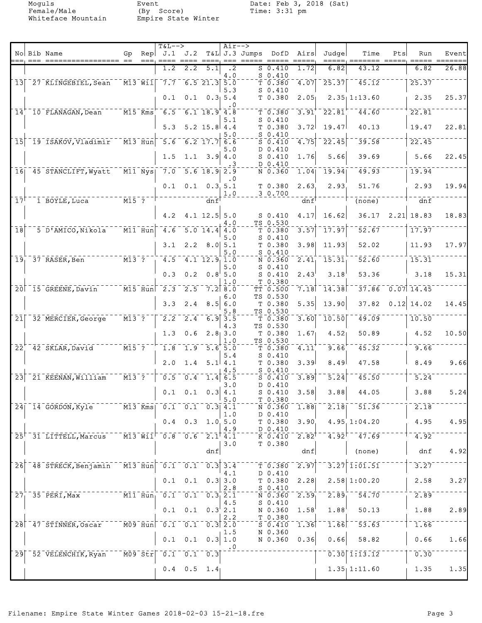Moguls Event Date: Feb 3, 2018 (Sat) Female/Male (By Score) Time: 3:31 pm Whiteface Mountain Empire State Winter

|                            |         |                                            |                                                |             | $T&L-->$                                                                                                            |                  |                                                                                                                                                                                                                                                                                                                                                                                                                                     | $Air--$          |               |                                      |                     |                            |                                        |                                |                         |                 |
|----------------------------|---------|--------------------------------------------|------------------------------------------------|-------------|---------------------------------------------------------------------------------------------------------------------|------------------|-------------------------------------------------------------------------------------------------------------------------------------------------------------------------------------------------------------------------------------------------------------------------------------------------------------------------------------------------------------------------------------------------------------------------------------|------------------|---------------|--------------------------------------|---------------------|----------------------------|----------------------------------------|--------------------------------|-------------------------|-----------------|
|                            | $= = =$ | No Bib Name<br>===== ==                    | Gp                                             | Rep<br>$==$ | J.1 J.2                                                                                                             |                  | $\begin{array}{cccccc} \texttt{m} & \texttt{m} & \texttt{m} & \texttt{m} & \texttt{m} & \texttt{m} & \texttt{m} & \texttt{m} & \texttt{m} & \texttt{m} & \texttt{m} & \texttt{m} & \texttt{m} & \texttt{m} & \texttt{m} & \texttt{m} & \texttt{m} & \texttt{m} & \texttt{m} & \texttt{m} & \texttt{m} & \texttt{m} & \texttt{m} & \texttt{m} & \texttt{m} & \texttt{m} & \texttt{m} & \texttt{m} & \texttt{m} & \texttt{m} & \text$ | $== =$           | T&L J.3 Jumps | DofD<br>$=$ $=$ $=$ $=$              | Airs                | Judge                      | Time<br>=====, =======                 | Pts<br>$=$ $=$ $=$ $=$ $=$ $<$ | Run<br>$= = = = =$      | Event<br>====== |
|                            |         |                                            |                                                |             | 1.2                                                                                                                 | 2.2              | 5.1                                                                                                                                                                                                                                                                                                                                                                                                                                 | $\cdot$ 2        |               | $S$ 0.410                            | 1.72                | 6.82                       | 43.12                                  |                                | 6.82                    | 26.88           |
|                            |         |                                            |                                                |             |                                                                                                                     |                  | $6.5$ 21.3 $5.0$                                                                                                                                                                                                                                                                                                                                                                                                                    | 4.0              |               | $S_0.410$                            |                     |                            | 45.12                                  |                                |                         |                 |
| 13                         |         | 27 KLINGEBIEL, Sean                        | $\bar{}$ M13 Wil $\bar{}$                      |             | $\bar{7}.\bar{7}$                                                                                                   |                  |                                                                                                                                                                                                                                                                                                                                                                                                                                     | 5.3              |               | T0.380<br>$S_0.410$                  | 4.07                | 25.37                      |                                        |                                | 25.37                   |                 |
|                            |         |                                            |                                                |             | 0.1                                                                                                                 | 0.1              |                                                                                                                                                                                                                                                                                                                                                                                                                                     | 0.3, 5.4         |               | T 0.380                              | 2.05                |                            | $2.35$ 1:13.60                         |                                | 2.35                    | 25.37           |
| $\bar{1}\bar{4}$           |         | 10 FLANAGAN, Dean                          | $^{-1}$ M $\bar{1}$ 5 $^-$ Kms $^+$            |             | $\overline{6.5}$                                                                                                    |                  | $6.1$ 18.9 4.8                                                                                                                                                                                                                                                                                                                                                                                                                      | $\cdot$ 0        |               | T 0.380                              | 3.91                | 22.81                      | 44.60                                  |                                | 22.81                   |                 |
|                            |         |                                            |                                                |             |                                                                                                                     |                  |                                                                                                                                                                                                                                                                                                                                                                                                                                     | 5.1              |               | $S_0.410$                            |                     |                            |                                        |                                |                         |                 |
|                            |         |                                            |                                                |             | 5.3                                                                                                                 |                  | $5.2$ 15.8 4.4                                                                                                                                                                                                                                                                                                                                                                                                                      |                  |               | T 0.380                              | 3.72                | 19.47                      | 40.13                                  |                                | 19.47                   | 22.81           |
| 15                         |         | 19 ISAKOV, Vladimir                        | $\bar{M}$ 13 Hun                               |             | $\overline{5.6}$                                                                                                    |                  | $6.2$ 17.7 6.6                                                                                                                                                                                                                                                                                                                                                                                                                      | 5.0              |               | $S_0.410$<br>$S_0.410$               | 4.75                | 22.45                      | 39.58                                  |                                | 22.45                   |                 |
|                            |         |                                            |                                                |             |                                                                                                                     |                  |                                                                                                                                                                                                                                                                                                                                                                                                                                     | 5.0              |               | D 0.410                              |                     |                            |                                        |                                |                         |                 |
|                            |         |                                            |                                                |             | 1.5                                                                                                                 |                  | $1.1 \quad 3.9 \quad 4.0$                                                                                                                                                                                                                                                                                                                                                                                                           |                  |               | $S_0.410$<br>D 0.410                 | 1.76                | 5.66                       | 39.69                                  |                                | 5.66                    | 22.45           |
| 16 <sub>1</sub>            |         | 45 STANCLIFT, Wyatt                        | $\overline{M11}$ $\overline{N}$ ys             |             | $\bar{7.0}$                                                                                                         |                  | $5.6$ 18.9 2.9                                                                                                                                                                                                                                                                                                                                                                                                                      |                  |               | $N = 0.360$                          | $\overline{1.04}$   | 19.94                      | $\overline{49.93}$                     |                                | 19.94                   |                 |
|                            |         |                                            |                                                |             | 0.1                                                                                                                 | 0.1              |                                                                                                                                                                                                                                                                                                                                                                                                                                     | . 0<br>0.3.5.1   |               | T 0.380                              | 2.63                | 2.93                       | 51.76                                  |                                | 2.93                    | 19.94           |
|                            |         |                                            |                                                |             |                                                                                                                     |                  |                                                                                                                                                                                                                                                                                                                                                                                                                                     | 1.0              |               | 3 0.700                              |                     |                            |                                        |                                |                         |                 |
| $\bar{1}\bar{7}$           |         | 1 BOYLE, Luca                              | ----- <u>M15-?-</u>                            |             |                                                                                                                     |                  | dnf                                                                                                                                                                                                                                                                                                                                                                                                                                 |                  |               |                                      | dnf                 |                            | $\overline{(\text{none})}$             |                                | dnf                     |                 |
|                            |         |                                            |                                                |             | 4.2                                                                                                                 |                  | $4.1$ 12.5 5.0                                                                                                                                                                                                                                                                                                                                                                                                                      |                  |               | $S_0.410$                            | 4.17                | 16.62                      | 36.17                                  |                                | $2.21$ 18.83            | 18.83           |
|                            |         |                                            |                                                |             |                                                                                                                     |                  |                                                                                                                                                                                                                                                                                                                                                                                                                                     | 4.O              |               | TS 0.530                             |                     |                            |                                        |                                |                         |                 |
| $\overline{18}$            |         | 5 D'AMICO, Nikola                          | $\bar{m}$ minimal                              |             | 4.6                                                                                                                 |                  | $\overline{5.0}$ $\overline{14.4}$ $\overline{4.0}$                                                                                                                                                                                                                                                                                                                                                                                 | 5.0              |               | T 0.380<br>$S_0.410$                 | 3.57                | 17.97                      | 52.67                                  |                                | 17.97                   |                 |
|                            |         |                                            |                                                |             | 3.1                                                                                                                 |                  | $2.2$ 8.0 5.1                                                                                                                                                                                                                                                                                                                                                                                                                       |                  |               | T 0.380                              | 3.98                | 11.93                      | 52.02                                  |                                | 11.93                   | 17.97           |
| 19 <sub>1</sub>            |         | 37 RASER, Ben                              | $\overline{M13}$ $\overline{3}$ $\overline{?}$ |             | 4.5                                                                                                                 |                  | $4.1$ $12.9$ $1.0$                                                                                                                                                                                                                                                                                                                                                                                                                  | 5.0              |               | $S_0.410$<br>N 0.360                 | 2.41                | 15.31                      | 52.60                                  |                                | 15.31                   |                 |
|                            |         |                                            |                                                |             |                                                                                                                     |                  |                                                                                                                                                                                                                                                                                                                                                                                                                                     | 5.0              |               | $S_0.410$                            |                     |                            |                                        |                                |                         |                 |
|                            |         |                                            |                                                |             | 0.3                                                                                                                 | 0.2              |                                                                                                                                                                                                                                                                                                                                                                                                                                     | 0.8'5.0<br>1.0   |               | $S_0.410$<br>T 0.380                 | 2.43                | 3.18                       | 53.36                                  |                                | 3.18                    | 15.31           |
|                            |         | 20 15 GREENE, Davin                        | $\overline{M15}$ Hun                           |             | $\frac{-2.3}{2.3}$                                                                                                  | $\overline{2.5}$ | $7.2$ 8.0                                                                                                                                                                                                                                                                                                                                                                                                                           |                  |               | TT 0.500                             | 7.18                | $\overline{11}$ .38        | 37.86                                  |                                | $\overline{0.07}$ 14.45 |                 |
|                            |         |                                            |                                                |             | 3.3                                                                                                                 | 2.4              |                                                                                                                                                                                                                                                                                                                                                                                                                                     | 6.0<br>8.5 6.0   |               | TS 0.530<br>T 0.380                  | 5.35                | 13.90                      | 37.82                                  |                                | $0.12$ 14.02            | 14.45           |
|                            |         |                                            |                                                |             |                                                                                                                     |                  |                                                                                                                                                                                                                                                                                                                                                                                                                                     | 5.8              |               | TS 0.530                             |                     |                            |                                        |                                |                         |                 |
| 21                         |         | 32 MERCIER, George                         | $\overline{M13}$ ?                             |             | $\overline{2.2}$                                                                                                    |                  | $\frac{1}{2.4}$ 6.9 3.5                                                                                                                                                                                                                                                                                                                                                                                                             |                  |               | T 0.380                              | 3.60                | 10.50                      | 49.09                                  |                                | 10.50                   |                 |
|                            |         |                                            |                                                |             | 1.3                                                                                                                 | 0.6              |                                                                                                                                                                                                                                                                                                                                                                                                                                     | 4.3<br>$2.8$ 3.0 |               | TS 0.530<br>T 0.380                  | 1.67                | 4.52 <sub>1</sub>          | 50.89                                  |                                | 4.52                    | 10.50           |
|                            |         |                                            |                                                |             |                                                                                                                     |                  |                                                                                                                                                                                                                                                                                                                                                                                                                                     | 1.0              |               | TS 0.530                             |                     |                            |                                        |                                |                         |                 |
| $\overline{2}\overline{2}$ |         | 42 SKLAR, David                            | $---\overline{M15}^{-7}$                       |             | 1.8                                                                                                                 |                  | $1.9 - 5.6 + 5.0$                                                                                                                                                                                                                                                                                                                                                                                                                   | 5.4              |               | T 0.380<br>$S_0.410$                 | 4.11                | 9.66                       | 45.32                                  |                                | 9.66                    |                 |
|                            |         |                                            |                                                |             | 2.0                                                                                                                 | 1.4              |                                                                                                                                                                                                                                                                                                                                                                                                                                     | $5.1$ 4.1        |               | T 0.380                              | 3.39                | 8.49                       | 47.58                                  |                                | 8.49                    | 9.66            |
| $\overline{2}3$            |         | 21 KEENAN, William                         | $\overline{M13}$ ?                             |             | $\overline{0.5}$                                                                                                    | $\sqrt{0.4}$     |                                                                                                                                                                                                                                                                                                                                                                                                                                     | 4.5<br>1.4 6.5   |               | $S_0.410$<br>$S_0.410$               | 3.89                | $\bar{5}.\bar{2}\bar{4}$   | 45.50                                  |                                | $\overline{5.24}$       |                 |
|                            |         |                                            |                                                |             |                                                                                                                     |                  |                                                                                                                                                                                                                                                                                                                                                                                                                                     | 3.0              |               | D 0.410                              |                     |                            |                                        |                                |                         |                 |
|                            |         |                                            |                                                |             | 0.1                                                                                                                 | 0.1              |                                                                                                                                                                                                                                                                                                                                                                                                                                     | 0.3   4.1<br>5.0 |               | $S_0.410$<br>T 0.380                 | 3.58                | 3.88                       | 44.05                                  |                                | 3.88                    | 5.24            |
|                            |         | 24 14 GORDON, Kyle M13 Kms 0.1 0.1 0.3 4.1 |                                                |             |                                                                                                                     |                  |                                                                                                                                                                                                                                                                                                                                                                                                                                     |                  |               | N 0.360                              | 1.88                |                            | $\overline{2.18}$ <sup>-51.36</sup>    |                                | 2.18                    |                 |
|                            |         |                                            |                                                |             |                                                                                                                     |                  | $0.4$ 0.3 1.0 5.0                                                                                                                                                                                                                                                                                                                                                                                                                   | 1.0              |               | D 0.410<br>T <sub>0.380</sub>        | 3.90                |                            | 4.95 1:04.20                           |                                | 4.95                    | 4.95            |
|                            |         |                                            |                                                |             |                                                                                                                     |                  |                                                                                                                                                                                                                                                                                                                                                                                                                                     | 4.9              |               | D 0.410                              |                     |                            |                                        |                                |                         |                 |
|                            |         | $25†$ 31 LITTELL, Marcus                   |                                                |             | $^{-1}$ M13 Wil $^{-}$ 0.8 0.6 2.1 4.1                                                                              |                  |                                                                                                                                                                                                                                                                                                                                                                                                                                     |                  |               | $K$ $0.410$<br>T 0.380               | $2.82$ <sup>T</sup> |                            | $4.92$ <sup>--</sup> $47.69$           |                                | 4.92                    |                 |
|                            |         |                                            |                                                |             |                                                                                                                     |                  | dnf                                                                                                                                                                                                                                                                                                                                                                                                                                 | 3.0              |               |                                      | dnf                 |                            | (none)                                 |                                | dnf                     | 4.92            |
| $\overline{2}6$            |         |                                            |                                                |             | $-$ M13 Hun $-$ 0.1 $-$ 0.1 $-$ 0.3 3.4                                                                             |                  |                                                                                                                                                                                                                                                                                                                                                                                                                                     |                  |               |                                      | 2.97                |                            | $3.27$ 1:01.51                         |                                | 3.27                    |                 |
|                            |         | 48 STRECK, Benjamin                        |                                                |             |                                                                                                                     |                  |                                                                                                                                                                                                                                                                                                                                                                                                                                     | 4.1              |               | T 0.380<br>D 0.410                   |                     |                            |                                        |                                |                         |                 |
|                            |         |                                            |                                                |             |                                                                                                                     |                  | $0.1 \quad 0.1 \quad 0.3 \mid 3.0$                                                                                                                                                                                                                                                                                                                                                                                                  |                  |               | T 0.380                              | 2.28                |                            | 2.58 1:00.20                           |                                | 2.58                    | 3.27            |
|                            |         | $271$ 35 PERI, Max                         |                                                |             | $\overline{M11}$ $\overline{H}$ un <sub>i</sub> $\overline{0.1}$ $\overline{0.1}$ $\overline{0.3}$ $\overline{2.1}$ |                  |                                                                                                                                                                                                                                                                                                                                                                                                                                     | 2.8              |               | $S_0.410$<br>ั่ <b>ง</b> - อิ - ริ60 | 2.59                | $\bar{2}.\bar{8}\bar{9}^-$ | $\overline{54.70}$                     |                                | 2.89                    |                 |
|                            |         |                                            |                                                |             |                                                                                                                     |                  |                                                                                                                                                                                                                                                                                                                                                                                                                                     | 4.5              |               | $S_0.410$                            |                     |                            |                                        |                                |                         |                 |
|                            |         |                                            |                                                |             |                                                                                                                     |                  | $0.1 \quad 0.1 \quad 0.3^{\dagger} 2.1$                                                                                                                                                                                                                                                                                                                                                                                             | 2.2              |               | N 0.360<br>T 0.380                   | 1.58                | 1.88                       | 50.13                                  |                                | 1.88                    | 2.89            |
|                            |         | 28 47 STINNER, Oscar                       |                                                |             | $^{-1}$ MO9 Hun $^{-0}$ .1 $^{-0}$ .1 $^{-0}$ .3 2.0                                                                |                  |                                                                                                                                                                                                                                                                                                                                                                                                                                     |                  |               | $5 - 0.410$                          | $\overline{1.36}$   | $1.66$ <sup>--1</sup>      | $\overline{53.63}$                     |                                | 1.66                    |                 |
|                            |         |                                            |                                                |             |                                                                                                                     |                  | $0.1 \quad 0.1 \quad 0.3 \mid 1.0$                                                                                                                                                                                                                                                                                                                                                                                                  | 1.5              |               | N 0.360<br>N 0.360                   | 0.36                | 0.66                       | 58.82                                  |                                | 0.66                    | 1.66            |
|                            |         |                                            |                                                |             |                                                                                                                     |                  |                                                                                                                                                                                                                                                                                                                                                                                                                                     | . 0              |               |                                      |                     |                            |                                        |                                |                         |                 |
|                            |         | 29 52 VELENCHIK, Ryan                      |                                                |             | $\overline{M09}$ $\overline{51r}$ $\overline{0.1}$ $\overline{0.1}$ $\overline{0.3}$                                |                  |                                                                                                                                                                                                                                                                                                                                                                                                                                     |                  |               |                                      |                     |                            | $\overline{0.30}$ $\overline{1.13.12}$ |                                | 0.30                    |                 |
|                            |         |                                            |                                                |             |                                                                                                                     |                  | $0.4$ 0.5 1.4                                                                                                                                                                                                                                                                                                                                                                                                                       |                  |               |                                      |                     |                            | $1.35$ 1:11.60                         |                                | 1.35                    | 1.35            |
|                            |         |                                            |                                                |             |                                                                                                                     |                  |                                                                                                                                                                                                                                                                                                                                                                                                                                     |                  |               |                                      |                     |                            |                                        |                                |                         |                 |